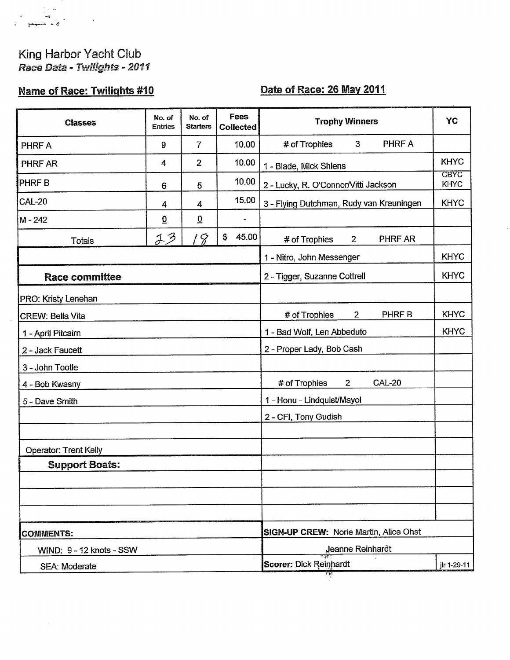## King Harbor Yacht Club<br>Race Data - Twilights - 2011

 $\bullet$ 

÷.

 $\overline{\phantom{a}}$  $\begin{array}{ccc} \hline & \ddots & \hline \quad \bullet & \bullet \end{array}$ 

## **Name of Race: Twilights #10**

## Date of Race: 26 May 2011

| <b>Classes</b>           | No. of<br><b>Entries</b>                                     | No. of<br><b>Starters</b> | <b>Fees</b><br><b>Collected</b>               | <b>Trophy Winners</b>                            | <b>YC</b>                  |  |  |
|--------------------------|--------------------------------------------------------------|---------------------------|-----------------------------------------------|--------------------------------------------------|----------------------------|--|--|
| PHRF A                   | 9                                                            | $\overline{7}$            | 10.00                                         | PHRF A<br># of Trophies<br>3                     |                            |  |  |
| PHRF AR                  | 4                                                            | $\overline{2}$            | 10.00                                         | 1 - Blade, Mick Shlens                           | <b>KHYC</b>                |  |  |
| <b>PHRFB</b>             | 6                                                            | 5                         | 10.00                                         | 2 - Lucky, R. O'Connor/Vitti Jackson             | <b>CBYC</b><br><b>KHYC</b> |  |  |
| <b>CAL-20</b>            | 4                                                            | 4                         | 15.00                                         | 3 - Flying Dutchman, Rudy van Kreuningen         | <b>KHYC</b>                |  |  |
| M - 242                  | $\overline{\mathbf{0}}$                                      | $\underline{0}$           | $\blacksquare$                                |                                                  |                            |  |  |
| <b>Totals</b>            | 23                                                           | 18                        | 45.00<br>\$                                   | # of Trophies<br>$\overline{2}$<br>PHRF AR       |                            |  |  |
|                          |                                                              |                           |                                               | 1 - Nitro, John Messenger                        | <b>KHYC</b>                |  |  |
| <b>Race committee</b>    |                                                              |                           |                                               | 2 - Tigger, Suzanne Cottrell                     | <b>KHYC</b>                |  |  |
| PRO: Kristy Lenehan      |                                                              |                           |                                               |                                                  |                            |  |  |
| <b>CREW: Bella Vita</b>  |                                                              |                           |                                               | PHRF B<br># of Trophies<br>$\overline{2}$        | <b>KHYC</b>                |  |  |
| 1 - April Pitcairn       |                                                              |                           | 1 - Bad Wolf, Len Abbeduto                    |                                                  |                            |  |  |
| 2 - Jack Faucett         |                                                              |                           |                                               | 2 - Proper Lady, Bob Cash                        |                            |  |  |
| 3 - John Tootle          |                                                              |                           |                                               |                                                  |                            |  |  |
| 4 - Bob Kwasny           |                                                              |                           |                                               | <b>CAL-20</b><br># of Trophies<br>$\overline{2}$ |                            |  |  |
| 5 - Dave Smith           |                                                              |                           |                                               | 1 - Honu - Lindquist/Mayol                       |                            |  |  |
|                          |                                                              |                           |                                               | 2 - CFI, Tony Gudish                             |                            |  |  |
| Operator: Trent Kelly    |                                                              |                           |                                               |                                                  |                            |  |  |
| <b>Support Boats:</b>    |                                                              |                           |                                               |                                                  |                            |  |  |
|                          |                                                              |                           |                                               |                                                  |                            |  |  |
|                          |                                                              |                           |                                               |                                                  |                            |  |  |
|                          |                                                              |                           |                                               |                                                  |                            |  |  |
| <b>COMMENTS:</b>         |                                                              |                           | <b>SIGN-UP CREW: Norie Martin, Alice Ohst</b> |                                                  |                            |  |  |
| WIND: 9 - 12 knots - SSW | Jeanne Reinhardt                                             |                           |                                               |                                                  |                            |  |  |
| <b>SEA: Moderate</b>     | <b>Scorer: Dick Reinhardt</b><br>jlr 1-29-11<br><u>iai i</u> |                           |                                               |                                                  |                            |  |  |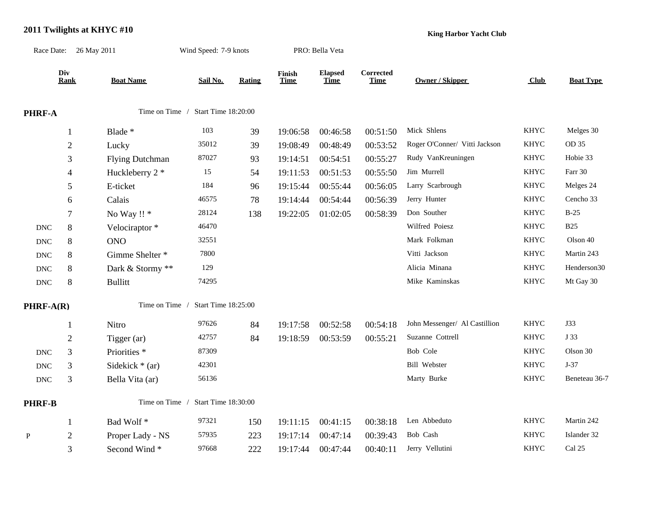## **2011 Twilights at KHYC #10**

**King Harbor Yacht Club**

|                           | Race Date: 26 May 2011 |                                       | Wind Speed: 7-9 knots              |               |                       | PRO: Bella Veta               |                                 |                               |             |                         |
|---------------------------|------------------------|---------------------------------------|------------------------------------|---------------|-----------------------|-------------------------------|---------------------------------|-------------------------------|-------------|-------------------------|
|                           | Div<br><b>Rank</b>     | <b>Boat Name</b>                      | Sail No.                           | <b>Rating</b> | Finish<br><b>Time</b> | <b>Elapsed</b><br><b>Time</b> | <b>Corrected</b><br><b>Time</b> | <b>Owner / Skipper</b>        | Club        | <b>Boat Type</b>        |
| PHRF-A                    |                        |                                       | Time on Time / Start Time 18:20:00 |               |                       |                               |                                 |                               |             |                         |
|                           | $\mathbf{1}$           | Blade *                               | 103                                | 39            | 19:06:58              | 00:46:58                      | 00:51:50                        | Mick Shlens                   | <b>KHYC</b> | Melges 30               |
|                           | $\sqrt{2}$             | Lucky                                 | 35012                              | 39            | 19:08:49              | 00:48:49                      | 00:53:52                        | Roger O'Conner/ Vitti Jackson | <b>KHYC</b> | OD 35                   |
|                           | 3                      | <b>Flying Dutchman</b>                | 87027                              | 93            | 19:14:51              | 00:54:51                      | 00:55:27                        | Rudy VanKreuningen            | <b>KHYC</b> | Hobie 33                |
|                           | $\overline{4}$         | Huckleberry 2 *                       | 15                                 | 54            | 19:11:53              | 00:51:53                      | 00:55:50                        | Jim Murrell                   | <b>KHYC</b> | Farr 30                 |
|                           | 5                      | E-ticket                              | 184                                | 96            | 19:15:44              | 00:55:44                      | 00:56:05                        | Larry Scarbrough              | <b>KHYC</b> | Melges 24               |
|                           | 6                      | Calais                                | 46575                              | $78\,$        | 19:14:44              | 00:54:44                      | 00:56:39                        | Jerry Hunter                  | <b>KHYC</b> | Cencho 33               |
|                           | $\tau$                 | No Way !! *                           | 28124                              | 138           | 19:22:05              | 01:02:05                      | 00:58:39                        | Don Souther                   | <b>KHYC</b> | $B-25$                  |
| <b>DNC</b>                | $8\,$                  | Velociraptor*                         | 46470                              |               |                       |                               |                                 | Wilfred Poiesz                | <b>KHYC</b> | <b>B25</b>              |
| $\ensuremath{\text{DNC}}$ | $\,8\,$                | <b>ONO</b>                            | 32551                              |               |                       |                               |                                 | Mark Folkman                  | <b>KHYC</b> | Olson 40                |
| $\operatorname{DNC}$      | $8\,$                  | Gimme Shelter *                       | 7800                               |               |                       |                               |                                 | Vitti Jackson                 | <b>KHYC</b> | Martin 243              |
| $\operatorname{DNC}$      | 8                      | Dark & Stormy **                      | 129                                |               |                       |                               |                                 | Alicia Minana                 | <b>KHYC</b> | Henderson30             |
| $\operatorname{DNC}$      | $8\,$                  | <b>Bullitt</b>                        | 74295                              |               |                       |                               |                                 | Mike Kaminskas                | <b>KHYC</b> | Mt Gay 30               |
| $PHRF-A(R)$               |                        | Time on Time /<br>Start Time 18:25:00 |                                    |               |                       |                               |                                 |                               |             |                         |
|                           | 1                      | Nitro                                 | 97626                              | 84            | 19:17:58              | 00:52:58                      | 00:54:18                        | John Messenger/ Al Castillion | <b>KHYC</b> | <b>J33</b>              |
|                           | $\mathfrak{2}$         | Tigger (ar)                           | 42757                              | 84            | 19:18:59              | 00:53:59                      | 00:55:21                        | Suzanne Cottrell              | <b>KHYC</b> | J 33                    |
| $\operatorname{DNC}$      | $\mathfrak{Z}$         | Priorities <sup>*</sup>               | 87309                              |               |                       |                               |                                 | Bob Cole                      | <b>KHYC</b> | Olson 30                |
| $\operatorname{DNC}$      | 3                      | Sidekick $*$ (ar)                     | 42301                              |               |                       |                               |                                 | <b>Bill Webster</b>           | <b>KHYC</b> | $J-37$                  |
| $\operatorname{DNC}$      | 3                      | Bella Vita (ar)                       | 56136                              |               |                       |                               |                                 | Marty Burke                   | <b>KHYC</b> | Beneteau 36-7           |
| <b>PHRF-B</b>             |                        | Time on Time /                        |                                    |               |                       |                               |                                 |                               |             |                         |
|                           | $\mathbf{1}$           | Bad Wolf*                             | 97321                              | 150           | 19:11:15              | 00:41:15                      | 00:38:18                        | Len Abbeduto                  | <b>KHYC</b> | Martin 242              |
| $\mathbf{P}$              | 2                      | Proper Lady - NS                      | 57935                              | 223           | 19:17:14              | 00:47:14                      | 00:39:43                        | Bob Cash                      | <b>KHYC</b> | Islander 32             |
|                           | 3                      | Second Wind*                          | 97668                              | 222           | 19:17:44              | 00:47:44                      | 00:40:11                        | Jerry Vellutini               | <b>KHYC</b> | $\operatorname{Cal}$ 25 |